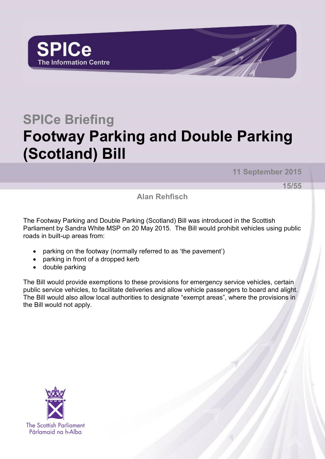

# **SPICe Briefing Footway Parking and Double Parking (Scotland) Bill**

**11 September 2015**

**15/55**

**Alan Rehfisch**

The Footway Parking and Double Parking (Scotland) Bill was introduced in the Scottish Parliament by Sandra White MSP on 20 May 2015. The Bill would prohibit vehicles using public roads in built-up areas from:

- parking on the footway (normally referred to as 'the pavement')
- parking in front of a dropped kerb
- double parking

The Bill would provide exemptions to these provisions for emergency service vehicles, certain public service vehicles, to facilitate deliveries and allow vehicle passengers to board and alight. The Bill would also allow local authorities to designate "exempt areas", where the provisions in the Bill would not apply.

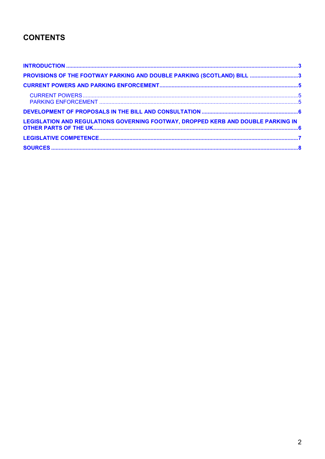## **CONTENTS**

| PROVISIONS OF THE FOOTWAY PARKING AND DOUBLE PARKING (SCOTLAND) BILL 3            |  |
|-----------------------------------------------------------------------------------|--|
|                                                                                   |  |
|                                                                                   |  |
|                                                                                   |  |
| LEGISLATION AND REGULATIONS GOVERNING FOOTWAY, DROPPED KERB AND DOUBLE PARKING IN |  |
|                                                                                   |  |
|                                                                                   |  |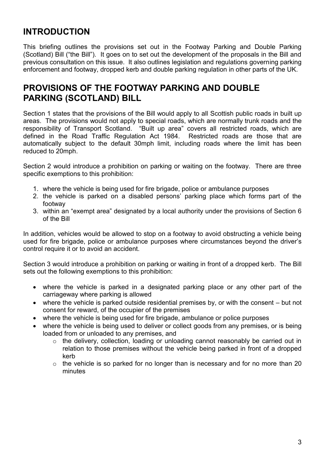# <span id="page-2-0"></span>**INTRODUCTION**

This briefing outlines the provisions set out in the Footway Parking and Double Parking (Scotland) Bill ("the Bill"). It goes on to set out the development of the proposals in the Bill and previous consultation on this issue. It also outlines legislation and regulations governing parking enforcement and footway, dropped kerb and double parking regulation in other parts of the UK.

## <span id="page-2-1"></span>**PROVISIONS OF THE FOOTWAY PARKING AND DOUBLE PARKING (SCOTLAND) BILL**

Section 1 states that the provisions of the Bill would apply to all Scottish public roads in built up areas. The provisions would not apply to special roads, which are normally trunk roads and the responsibility of Transport Scotland. "Built up area" covers all restricted roads, which are defined in the Road Traffic Regulation Act 1984. Restricted roads are those that are automatically subject to the default 30mph limit, including roads where the limit has been reduced to 20mph.

Section 2 would introduce a prohibition on parking or waiting on the footway. There are three specific exemptions to this prohibition:

- 1. where the vehicle is being used for fire brigade, police or ambulance purposes
- 2. the vehicle is parked on a disabled persons' parking place which forms part of the footway
- 3. within an "exempt area" designated by a local authority under the provisions of Section 6 of the Bill

In addition, vehicles would be allowed to stop on a footway to avoid obstructing a vehicle being used for fire brigade, police or ambulance purposes where circumstances beyond the driver's control require it or to avoid an accident.

Section 3 would introduce a prohibition on parking or waiting in front of a dropped kerb. The Bill sets out the following exemptions to this prohibition:

- where the vehicle is parked in a designated parking place or any other part of the carriageway where parking is allowed
- where the vehicle is parked outside residential premises by, or with the consent but not consent for reward, of the occupier of the premises
- where the vehicle is being used for fire brigade, ambulance or police purposes
- where the vehicle is being used to deliver or collect goods from any premises, or is being loaded from or unloaded to any premises, and
	- o the delivery, collection, loading or unloading cannot reasonably be carried out in relation to those premises without the vehicle being parked in front of a dropped kerb
	- $\circ$  the vehicle is so parked for no longer than is necessary and for no more than 20 minutes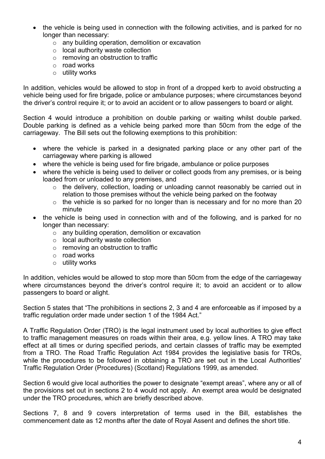- the vehicle is being used in connection with the following activities, and is parked for no longer than necessary:
	- o any building operation, demolition or excavation
	- $\circ$  local authority waste collection
	- $\circ$  removing an obstruction to traffic
	- o road works
	- o utility works

In addition, vehicles would be allowed to stop in front of a dropped kerb to avoid obstructing a vehicle being used for fire brigade, police or ambulance purposes; where circumstances beyond the driver's control require it; or to avoid an accident or to allow passengers to board or alight.

Section 4 would introduce a prohibition on double parking or waiting whilst double parked. Double parking is defined as a vehicle being parked more than 50cm from the edge of the carriageway. The Bill sets out the following exemptions to this prohibition:

- where the vehicle is parked in a designated parking place or any other part of the carriageway where parking is allowed
- where the vehicle is being used for fire brigade, ambulance or police purposes
- where the vehicle is being used to deliver or collect goods from any premises, or is being loaded from or unloaded to any premises, and
	- o the delivery, collection, loading or unloading cannot reasonably be carried out in relation to those premises without the vehicle being parked on the footway
	- o the vehicle is so parked for no longer than is necessary and for no more than 20 minute
- the vehicle is being used in connection with and of the following, and is parked for no longer than necessary:
	- o any building operation, demolition or excavation
	- $\circ$  local authority waste collection
	- $\circ$  removing an obstruction to traffic
	- o road works
	- o utility works

In addition, vehicles would be allowed to stop more than 50cm from the edge of the carriageway where circumstances beyond the driver's control require it; to avoid an accident or to allow passengers to board or alight.

Section 5 states that "The prohibitions in sections 2, 3 and 4 are enforceable as if imposed by a traffic regulation order made under section 1 of the 1984 Act."

A Traffic Regulation Order (TRO) is the legal instrument used by local authorities to give effect to traffic management measures on roads within their area, e.g. yellow lines. A TRO may take effect at all times or during specified periods, and certain classes of traffic may be exempted from a TRO. The Road Traffic Regulation Act 1984 provides the legislative basis for TROs, while the procedures to be followed in obtaining a TRO are set out in the Local Authorities' Traffic Regulation Order (Procedures) (Scotland) Regulations 1999, as amended.

Section 6 would give local authorities the power to designate "exempt areas", where any or all of the provisions set out in sections 2 to 4 would not apply. An exempt area would be designated under the TRO procedures, which are briefly described above.

Sections 7, 8 and 9 covers interpretation of terms used in the Bill, establishes the commencement date as 12 months after the date of Royal Assent and defines the short title.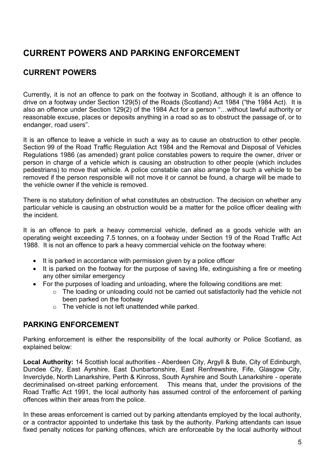## <span id="page-4-0"></span>**CURRENT POWERS AND PARKING ENFORCEMENT**

## <span id="page-4-1"></span>**CURRENT POWERS**

Currently, it is not an offence to park on the footway in Scotland, although it is an offence to drive on a footway under Section 129(5) of the Roads (Scotland) Act 1984 ("the 1984 Act). It is also an offence under Section 129(2) of the 1984 Act for a person "…without lawful authority or reasonable excuse, places or deposits anything in a road so as to obstruct the passage of, or to endanger, road users".

It is an offence to leave a vehicle in such a way as to cause an obstruction to other people. Section 99 of the Road Traffic Regulation Act 1984 and the Removal and Disposal of Vehicles Regulations 1986 (as amended) grant police constables powers to require the owner, driver or person in charge of a vehicle which is causing an obstruction to other people (which includes pedestrians) to move that vehicle. A police constable can also arrange for such a vehicle to be removed if the person responsible will not move it or cannot be found, a charge will be made to the vehicle owner if the vehicle is removed.

There is no statutory definition of what constitutes an obstruction. The decision on whether any particular vehicle is causing an obstruction would be a matter for the police officer dealing with the incident.

It is an offence to park a heavy commercial vehicle, defined as a goods vehicle with an operating weight exceeding 7.5 tonnes, on a footway under Section 19 of the Road Traffic Act 1988. It is not an offence to park a heavy commercial vehicle on the footway where:

- It is parked in accordance with permission given by a police officer
- It is parked on the footway for the purpose of saving life, extinguishing a fire or meeting any other similar emergency
- For the purposes of loading and unloading, where the following conditions are met:
	- o The loading or unloading could not be carried out satisfactorily had the vehicle not been parked on the footway
	- o The vehicle is not left unattended while parked.

#### <span id="page-4-2"></span>**PARKING ENFORCEMENT**

Parking enforcement is either the responsibility of the local authority or Police Scotland, as explained below:

**Local Authority:** 14 Scottish local authorities - Aberdeen City, Argyll & Bute, City of Edinburgh, Dundee City, East Ayrshire, East Dunbartonshire, East Renfrewshire, Fife, Glasgow City, Inverclyde, North Lanarkshire, Perth & Kinross, South Ayrshire and South Lanarkshire - operate decriminalised on-street parking enforcement. This means that, under the provisions of the Road Traffic Act 1991, the local authority has assumed control of the enforcement of parking offences within their areas from the police.

In these areas enforcement is carried out by parking attendants employed by the local authority, or a contractor appointed to undertake this task by the authority. Parking attendants can issue fixed penalty notices for parking offences, which are enforceable by the local authority without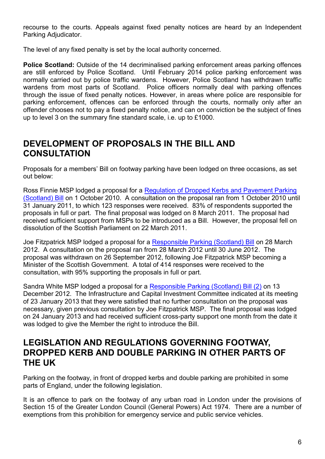recourse to the courts. Appeals against fixed penalty notices are heard by an Independent Parking Adjudicator.

The level of any fixed penalty is set by the local authority concerned.

**Police Scotland:** Outside of the 14 decriminalised parking enforcement areas parking offences are still enforced by Police Scotland. Until February 2014 police parking enforcement was normally carried out by police traffic wardens. However, Police Scotland has withdrawn traffic wardens from most parts of Scotland. Police officers normally deal with parking offences through the issue of fixed penalty notices. However, in areas where police are responsible for parking enforcement, offences can be enforced through the courts, normally only after an offender chooses not to pay a fixed penalty notice, and can on conviction be the subject of fines up to level 3 on the summary fine standard scale, i.e. up to £1000.

## <span id="page-5-0"></span>**DEVELOPMENT OF PROPOSALS IN THE BILL AND CONSULTATION**

Proposals for a members' Bill on footway parking have been lodged on three occasions, as set out below:

Ross Finnie MSP lodged a proposal for a [Regulation of Dropped Kerbs and Pavement Parking](http://www.scottish.parliament.uk/parliamentarybusiness/Bills/22287.aspx)  [\(Scotland\) Bill](http://www.scottish.parliament.uk/parliamentarybusiness/Bills/22287.aspx) on 1 October 2010. A consultation on the proposal ran from 1 October 2010 until 31 January 2011, to which 123 responses were received. 83% of respondents supported the proposals in full or part. The final proposal was lodged on 8 March 2011. The proposal had received sufficient support from MSPs to be introduced as a Bill. However, the proposal fell on dissolution of the Scottish Parliament on 22 March 2011.

Joe Fitzpatrick MSP lodged a proposal for a [Responsible Parking \(Scotland\) Bill](http://www.scottish.parliament.uk/parliamentarybusiness/Bills/49061.aspx) on 28 March 2012. A consultation on the proposal ran from 28 March 2012 until 30 June 2012. The proposal was withdrawn on 26 September 2012, following Joe Fitzpatrick MSP becoming a Minister of the Scottish Government. A total of 414 responses were received to the consultation, with 95% supporting the proposals in full or part.

Sandra White MSP lodged a proposal for a [Responsible Parking \(Scotland\) Bill \(2\)](http://www.scottish.parliament.uk/parliamentarybusiness/Bills/57851.aspx) on 13 December 2012. The Infrastructure and Capital Investment Committee indicated at its meeting of 23 January 2013 that they were satisfied that no further consultation on the proposal was necessary, given previous consultation by Joe Fitzpatrick MSP. The final proposal was lodged on 24 January 2013 and had received sufficient cross-party support one month from the date it was lodged to give the Member the right to introduce the Bill.

## <span id="page-5-1"></span>**LEGISLATION AND REGULATIONS GOVERNING FOOTWAY, DROPPED KERB AND DOUBLE PARKING IN OTHER PARTS OF THE UK**

Parking on the footway, in front of dropped kerbs and double parking are prohibited in some parts of England, under the following legislation.

It is an offence to park on the footway of any urban road in London under the provisions of Section 15 of the Greater London Council (General Powers) Act 1974. There are a number of exemptions from this prohibition for emergency service and public service vehicles.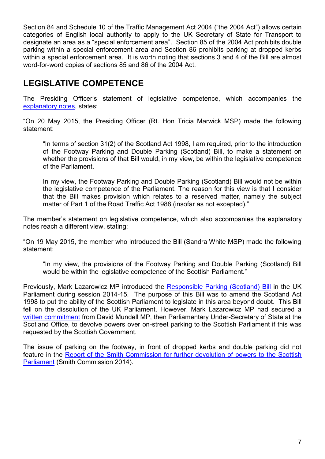Section 84 and Schedule 10 of the Traffic Management Act 2004 ("the 2004 Act") allows certain categories of English local authority to apply to the UK Secretary of State for Transport to designate an area as a "special enforcement area". Section 85 of the 2004 Act prohibits double parking within a special enforcement area and Section 86 prohibits parking at dropped kerbs within a special enforcement area. It is worth noting that sections 3 and 4 of the Bill are almost word-for-word copies of sections 85 and 86 of the 2004 Act.

## <span id="page-6-0"></span>**LEGISLATIVE COMPETENCE**

The Presiding Officer's statement of legislative competence, which accompanies the [explanatory notes,](http://www.scottish.parliament.uk/S4_Bills/Footway%20Parking%20and%20Double%20Parking%20(Scotland)%20Bill/b69s4-introd-en.pdf) states:

"On 20 May 2015, the Presiding Officer (Rt. Hon Tricia Marwick MSP) made the following statement:

"In terms of section 31(2) of the Scotland Act 1998, I am required, prior to the introduction of the Footway Parking and Double Parking (Scotland) Bill, to make a statement on whether the provisions of that Bill would, in my view, be within the legislative competence of the Parliament.

In my view, the Footway Parking and Double Parking (Scotland) Bill would not be within the legislative competence of the Parliament. The reason for this view is that I consider that the Bill makes provision which relates to a reserved matter, namely the subject matter of Part 1 of the Road Traffic Act 1988 (insofar as not excepted)."

The member's statement on legislative competence, which also accompanies the explanatory notes reach a different view, stating:

"On 19 May 2015, the member who introduced the Bill (Sandra White MSP) made the following statement:

"In my view, the provisions of the Footway Parking and Double Parking (Scotland) Bill would be within the legislative competence of the Scottish Parliament."

Previously, Mark Lazarowicz MP introduced the [Responsible Parking \(Scotland\) Bill](http://services.parliament.uk/bills/2014-15/responsibleparkingscotland.html) in the UK Parliament during session 2014-15. The purpose of this Bill was to amend the Scotland Act 1998 to put the ability of the Scottish Parliament to legislate in this area beyond doubt. This Bill fell on the dissolution of the UK Parliament. However, Mark Lazarowicz MP had secured a [written commitment](https://d3n8a8pro7vhmx.cloudfront.net/labourclp186/pages/209/attachments/original/1420713403/Letter_from_David_Mundell_to_Mark_Lazarowicz_re_Responsible_Parking_-_9_December_2014.pdf?1420713403) from David Mundell MP, then Parliamentary Under-Secretary of State at the Scotland Office, to devolve powers over on-street parking to the Scottish Parliament if this was requested by the Scottish Government.

The issue of parking on the footway, in front of dropped kerbs and double parking did not feature in the Report of the Smith Commission for further devolution of powers to the Scottish [Parliament](http://www.smith-commission.scot/wp-content/uploads/2014/11/The_Smith_Commission_Report-1.pdf) (Smith Commission 2014).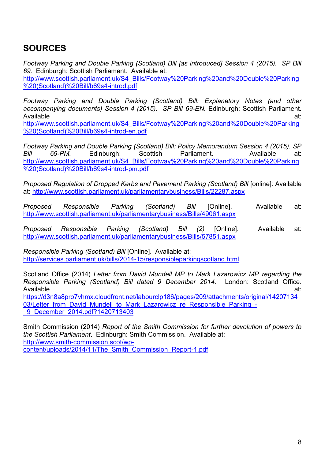# <span id="page-7-0"></span>**SOURCES**

*Footway Parking and Double Parking (Scotland) Bill [as introduced] Session 4 (2015). SP Bill 69.* Edinburgh: Scottish Parliament. Available at: [http://www.scottish.parliament.uk/S4\\_Bills/Footway%20Parking%20and%20Double%20Parking](http://www.scottish.parliament.uk/S4_Bills/Footway%20Parking%20and%20Double%20Parking%20(Scotland)%20Bill/b69s4-introd.pdf) [%20\(Scotland\)%20Bill/b69s4-introd.pdf](http://www.scottish.parliament.uk/S4_Bills/Footway%20Parking%20and%20Double%20Parking%20(Scotland)%20Bill/b69s4-introd.pdf)

*Footway Parking and Double Parking (Scotland) Bill: Explanatory Notes (and other accompanying documents) Session 4 (2015). SP Bill 69-EN.* Edinburgh: Scottish Parliament. Available at:

[http://www.scottish.parliament.uk/S4\\_Bills/Footway%20Parking%20and%20Double%20Parking](http://www.scottish.parliament.uk/S4_Bills/Footway%20Parking%20and%20Double%20Parking%20(Scotland)%20Bill/b69s4-introd-en.pdf) [%20\(Scotland\)%20Bill/b69s4-introd-en.pdf](http://www.scottish.parliament.uk/S4_Bills/Footway%20Parking%20and%20Double%20Parking%20(Scotland)%20Bill/b69s4-introd-en.pdf)

*Footway Parking and Double Parking (Scotland) Bill: Policy Memorandum Session 4 (2015). SP Bill 69-PM.* Edinburgh: Scottish Parliament. Available at: [http://www.scottish.parliament.uk/S4\\_Bills/Footway%20Parking%20and%20Double%20Parking](http://www.scottish.parliament.uk/S4_Bills/Footway%20Parking%20and%20Double%20Parking%20(Scotland)%20Bill/b69s4-introd-pm.pdf) [%20\(Scotland\)%20Bill/b69s4-introd-pm.pdf](http://www.scottish.parliament.uk/S4_Bills/Footway%20Parking%20and%20Double%20Parking%20(Scotland)%20Bill/b69s4-introd-pm.pdf)

*Proposed Regulation of Dropped Kerbs and Pavement Parking (Scotland) Bill* [online]: Available at:<http://www.scottish.parliament.uk/parliamentarybusiness/Bills/22287.aspx>

*Proposed Responsible Parking (Scotland) Bill* [Online]. Available at: <http://www.scottish.parliament.uk/parliamentarybusiness/Bills/49061.aspx>

*Proposed Responsible Parking (Scotland) Bill (2)* [Online]. Available at: <http://www.scottish.parliament.uk/parliamentarybusiness/Bills/57851.aspx>

*Responsible Parking (Scotland) Bill* [Online]. Available at: <http://services.parliament.uk/bills/2014-15/responsibleparkingscotland.html>

Scotland Office (2014) *Letter from David Mundell MP to Mark Lazarowicz MP regarding the Responsible Parking (Scotland) Bill dated 9 December 2014*. London: Scotland Office. Available at: [https://d3n8a8pro7vhmx.cloudfront.net/labourclp186/pages/209/attachments/original/14207134](https://d3n8a8pro7vhmx.cloudfront.net/labourclp186/pages/209/attachments/original/1420713403/Letter_from_David_Mundell_to_Mark_Lazarowicz_re_Responsible_Parking_-_9_December_2014.pdf?1420713403) 03/Letter from David Mundell to Mark Lazarowicz re Responsible Parking -[\\_9\\_December\\_2014.pdf?1420713403](https://d3n8a8pro7vhmx.cloudfront.net/labourclp186/pages/209/attachments/original/1420713403/Letter_from_David_Mundell_to_Mark_Lazarowicz_re_Responsible_Parking_-_9_December_2014.pdf?1420713403)

Smith Commission (2014) *Report of the Smith Commission for further devolution of powers to the Scottish Parliament*. Edinburgh: Smith Commission. Available at: [http://www.smith-commission.scot/wp](http://www.smith-commission.scot/wp-content/uploads/2014/11/The_Smith_Commission_Report-1.pdf)[content/uploads/2014/11/The\\_Smith\\_Commission\\_Report-1.pdf](http://www.smith-commission.scot/wp-content/uploads/2014/11/The_Smith_Commission_Report-1.pdf)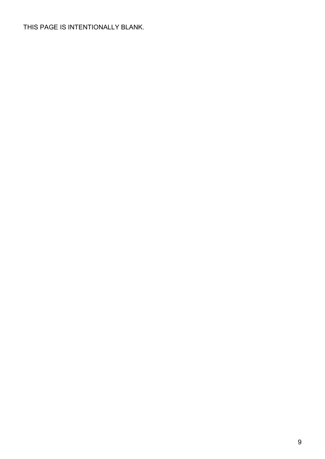THIS PAGE IS INTENTIONALLY BLANK.